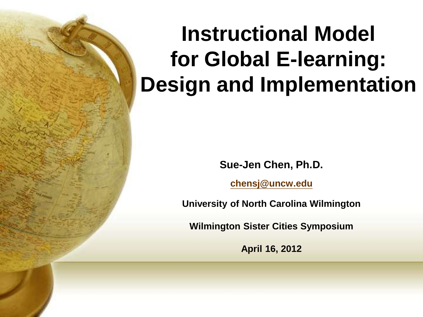# **Instructional Model for Global E-learning: Design and Implementation**

**Sue-Jen Chen, Ph.D.**

**[chensj@uncw.edu](mailto:chensj@uncw.edu)**

**University of North Carolina Wilmington**

**Wilmington Sister Cities Symposium** 

**April 16, 2012**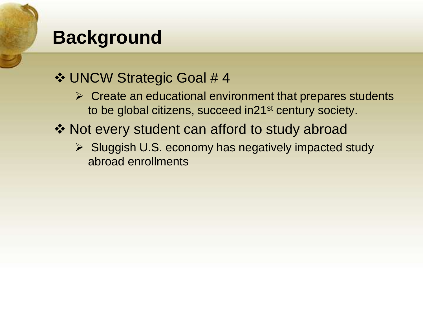### **Background**

### UNCW Strategic Goal # 4

- $\triangleright$  Create an educational environment that prepares students to be global citizens, succeed in21<sup>st</sup> century society.
- ❖ Not every student can afford to study abroad
	- ▶ Sluggish U.S. economy has negatively impacted study abroad enrollments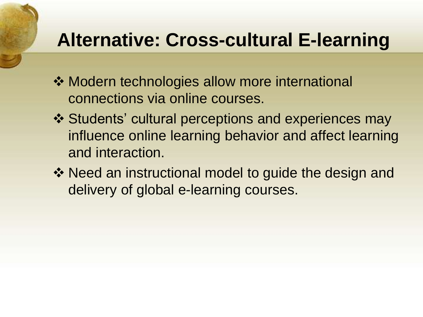## **Alternative: Cross-cultural E-learning**

- **❖ Modern technologies allow more international** connections via online courses.
- ❖ Students' cultural perceptions and experiences may influence online learning behavior and affect learning and interaction.
- ❖ Need an instructional model to guide the design and delivery of global e-learning courses.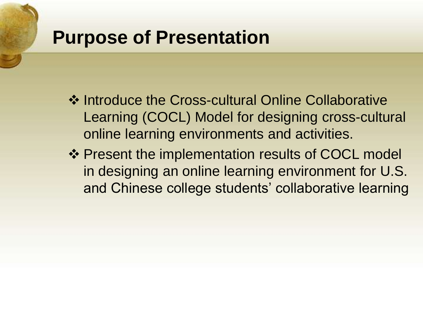### **Purpose of Presentation**

- ❖ Introduce the Cross-cultural Online Collaborative Learning (COCL) Model for designing cross-cultural online learning environments and activities.
- ❖ Present the implementation results of COCL model in designing an online learning environment for U.S. and Chinese college students' collaborative learning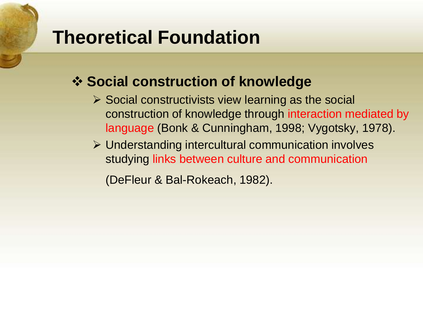### **Theoretical Foundation**

### **❖ Social construction of knowledge**

- $\triangleright$  Social constructivists view learning as the social construction of knowledge through interaction mediated by language (Bonk & Cunningham, 1998; Vygotsky, 1978).
- Understanding intercultural communication involves studying links between culture and communication

(DeFleur & Bal-Rokeach, 1982).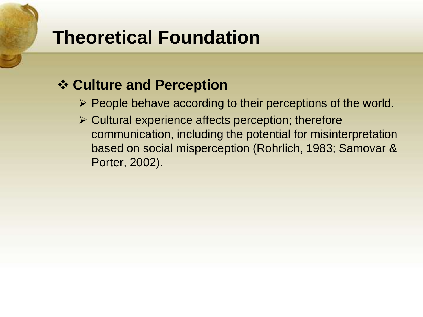## **Theoretical Foundation**

### **Culture and Perception**

- $\triangleright$  People behave according to their perceptions of the world.
- $\triangleright$  Cultural experience affects perception; therefore communication, including the potential for misinterpretation based on social misperception (Rohrlich, 1983; Samovar & Porter, 2002).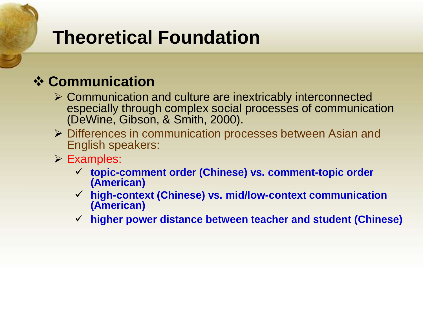## **Theoretical Foundation**

### **Communication**

- Communication and culture are inextricably interconnected especially through complex social processes of communication (DeWine, Gibson, & Smith, 2000).
- Differences in communication processes between Asian and English speakers:
- Examples:
	- **topic-comment order (Chinese) vs. comment-topic order (American)**
	- **high-context (Chinese) vs. mid/low-context communication (American)**
	- **higher power distance between teacher and student (Chinese)**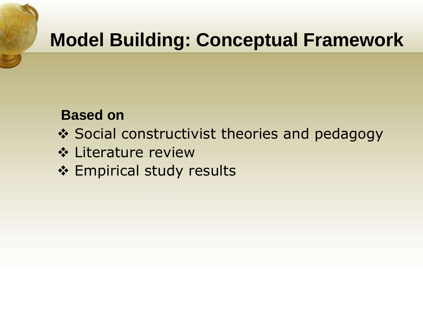## **Model Building: Conceptual Framework**

#### **Based on**

- ❖ Social constructivist theories and pedagogy
- Literature review
- ❖ Empirical study results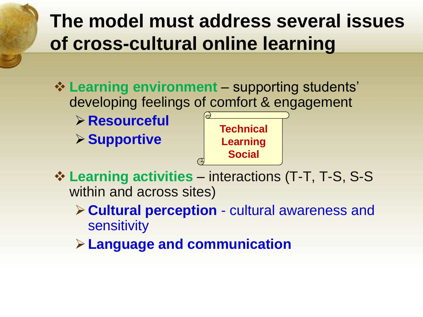## **The model must address several issues of cross-cultural online learning**

- **<sup>❖</sup> Learning environment** supporting students' developing feelings of comfort & engagement **Resourceful**
- **Supportive Learning activities** – interactions (T-T, T-S, S-S within and across sites) **Technical Learning Social** 
	- **Cultural perception**  cultural awareness and sensitivity
	- **Language and communication**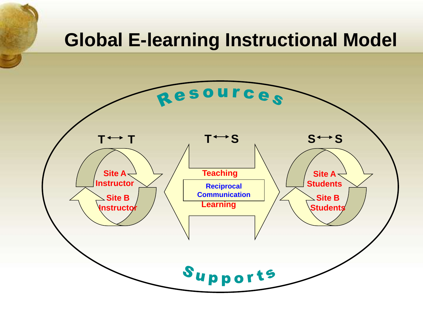### **Global E-learning Instructional Model**

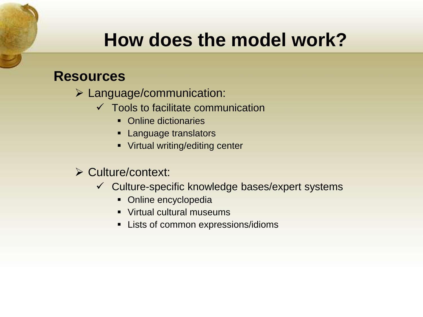#### **Resources**

- Language/communication:
	- $\checkmark$  Tools to facilitate communication
		- Online dictionaries
		- **Language translators**
		- **Virtual writing/editing center**

#### $\triangleright$  Culture/context:

- $\checkmark$  Culture-specific knowledge bases/expert systems
	- Online encyclopedia
	- **Virtual cultural museums**
	- **EXECT:** Lists of common expressions/idioms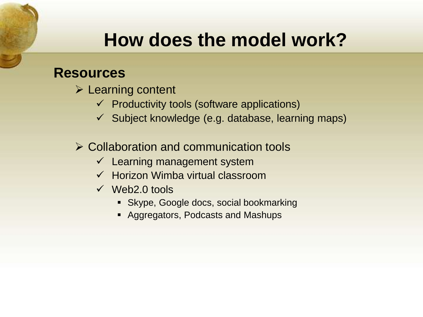#### **Resources**

- $\triangleright$  Learning content
	- $\checkmark$  Productivity tools (software applications)
	- $\checkmark$  Subject knowledge (e.g. database, learning maps)
- $\triangleright$  Collaboration and communication tools
	- $\checkmark$  Learning management system
	- $\checkmark$  Horizon Wimba virtual classroom
	- $\checkmark$  Web2.0 tools
		- Skype, Google docs, social bookmarking
		- **Aggregators, Podcasts and Mashups**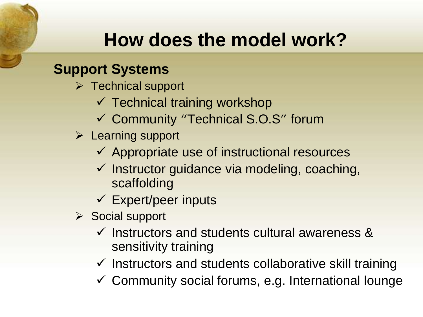### **Support Systems**

- $\triangleright$  Technical support
	- $\checkmark$  Technical training workshop
	- Community "Technical S.O.S" forum
- $\triangleright$  Learning support
	- $\checkmark$  Appropriate use of instructional resources
	- $\checkmark$  Instructor guidance via modeling, coaching, scaffolding
	- $\checkmark$  Expert/peer inputs
- Social support
	- $\checkmark$  Instructors and students cultural awareness & sensitivity training
	- $\checkmark$  Instructors and students collaborative skill training
	- $\checkmark$  Community social forums, e.g. International lounge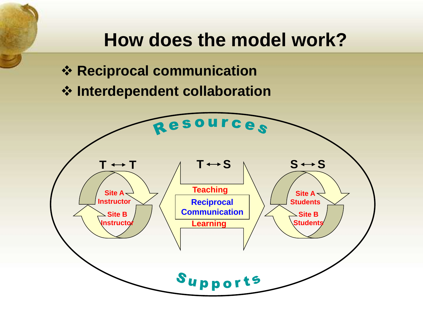- **❖ Reciprocal communication**
- **Interdependent collaboration**

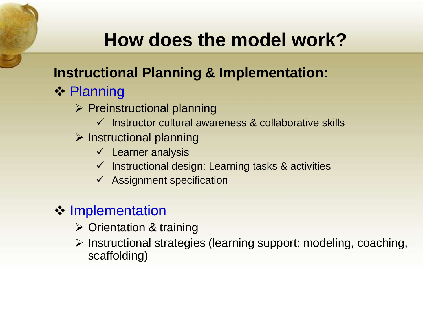### **Instructional Planning & Implementation:**

- **❖ Planning** 
	- $\triangleright$  Preinstructional planning
		- $\checkmark$  Instructor cultural awareness & collaborative skills
	- $\triangleright$  Instructional planning
		- $\checkmark$  Learner analysis
		- $\checkmark$  Instructional design: Learning tasks & activities
		- $\checkmark$  Assignment specification

### **❖ Implementation**

- **≻ Orientation & training**
- > Instructional strategies (learning support: modeling, coaching, scaffolding)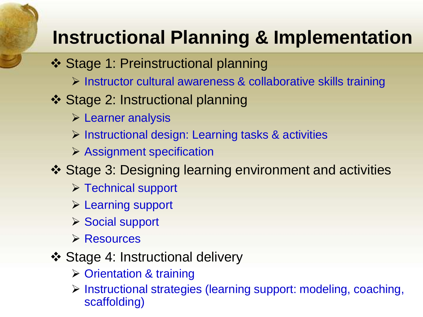## **Instructional Planning & Implementation**

- ❖ Stage 1: Preinstructional planning
	- Instructor cultural awareness & collaborative skills training
- Stage 2: Instructional planning
	- $\triangleright$  Learner analysis
	- $\triangleright$  Instructional design: Learning tasks & activities
	- $\triangleright$  Assignment specification
- Stage 3: Designing learning environment and activities
	- $\triangleright$  Technical support
	- $\triangleright$  Learning support
	- ▶ Social support
	- **≻ Resources**
- ❖ Stage 4: Instructional delivery
	- **▶ Orientation & training**
	- Instructional strategies (learning support: modeling, coaching, scaffolding)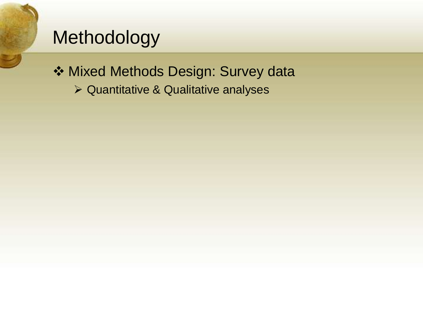## Methodology

◆ Mixed Methods Design: Survey data

Quantitative & Qualitative analyses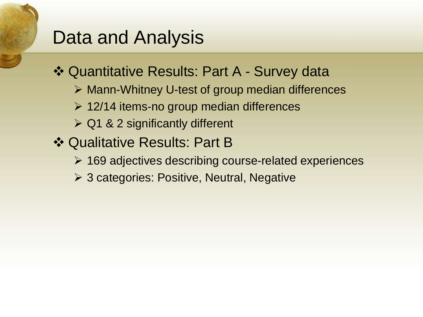### Data and Analysis

Quantitative Results: Part A - Survey data

- Mann-Whitney U-test of group median differences
- $\geq 12/14$  items-no group median differences
- $\triangleright$  Q1 & 2 significantly different
- Qualitative Results: Part B
	- $\geq$  169 adjectives describing course-related experiences
	- **≻ 3 categories: Positive, Neutral, Negative**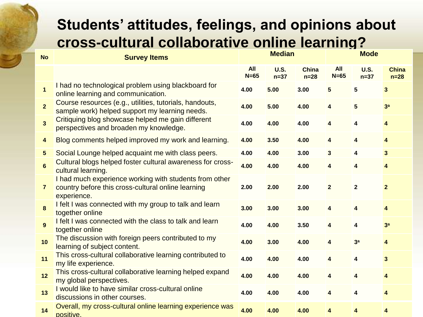### **Students' attitudes, feelings, and opinions about cross-cultural collaborative online learning?**

| <b>No</b>               | <b>Survey Items</b>                                                                                                         | <b>Median</b>        |                       | <b>Mode</b>            |                         |                         |                        |
|-------------------------|-----------------------------------------------------------------------------------------------------------------------------|----------------------|-----------------------|------------------------|-------------------------|-------------------------|------------------------|
|                         |                                                                                                                             | <b>All</b><br>$N=65$ | <b>U.S.</b><br>$n=37$ | <b>China</b><br>$n=28$ | <b>All</b><br>$N=65$    | <b>U.S.</b><br>$n=37$   | <b>China</b><br>$n=28$ |
| $\mathbf{1}$            | I had no technological problem using blackboard for<br>online learning and communication.                                   | 4.00                 | 5.00                  | 3.00                   | $5\phantom{1}$          | $5\phantom{1}$          | 3                      |
| $\overline{2}$          | Course resources (e.g., utilities, tutorials, handouts,<br>sample work) helped support my learning needs.                   | 4.00                 | 5.00                  | 4.00                   | $\overline{\mathbf{4}}$ | 5                       | 3 <sup>a</sup>         |
| $\overline{\mathbf{3}}$ | Critiquing blog showcase helped me gain different<br>perspectives and broaden my knowledge.                                 | 4.00                 | 4.00                  | 4.00                   | $\overline{\mathbf{4}}$ | 4                       | 4                      |
| $\overline{\mathbf{4}}$ | Blog comments helped improved my work and learning.                                                                         | 4.00                 | 3.50                  | 4.00                   | $\overline{\mathbf{4}}$ | 4                       | 4                      |
| $\overline{\mathbf{5}}$ | Social Lounge helped acquaint me with class peers.                                                                          | 4.00                 | 4.00                  | 3.00                   | $\mathbf{3}$            | 4                       | 3                      |
| $6\phantom{1}$          | Cultural blogs helped foster cultural awareness for cross-<br>cultural learning.                                            | 4.00                 | 4.00                  | 4.00                   | $\overline{\mathbf{4}}$ | 4                       | 4                      |
| $\overline{\mathbf{r}}$ | I had much experience working with students from other<br>country before this cross-cultural online learning<br>experience. | 2.00                 | 2.00                  | 2.00                   | $\overline{2}$          | $\mathbf 2$             | $\mathbf{2}$           |
| 8                       | I felt I was connected with my group to talk and learn<br>together online                                                   | 3.00                 | 3.00                  | 3.00                   | $\overline{\mathbf{4}}$ | 4                       | 4                      |
| 9                       | I felt I was connected with the class to talk and learn<br>together online                                                  | 4.00                 | 4.00                  | 3.50                   | $\overline{\mathbf{4}}$ | 4                       | 3 <sup>a</sup>         |
| 10                      | The discussion with foreign peers contributed to my<br>learning of subject content.                                         | 4.00                 | 3.00                  | 4.00                   | $\overline{\mathbf{4}}$ | 3 <sup>a</sup>          | 4                      |
| 11                      | This cross-cultural collaborative learning contributed to<br>my life experience.                                            | 4.00                 | 4.00                  | 4.00                   | 4                       | 4                       | 3                      |
| 12                      | This cross-cultural collaborative learning helped expand<br>my global perspectives.                                         | 4.00                 | 4.00                  | 4.00                   | $\overline{\mathbf{4}}$ | $\overline{\mathbf{4}}$ | 4                      |
| 13                      | I would like to have similar cross-cultural online<br>discussions in other courses.                                         | 4.00                 | 4.00                  | 4.00                   | 4                       | 4                       | 4                      |
| 14                      | Overall, my cross-cultural online learning experience was<br>positive.                                                      | 4.00                 | 4.00                  | 4.00                   | 4                       | 4                       | 4                      |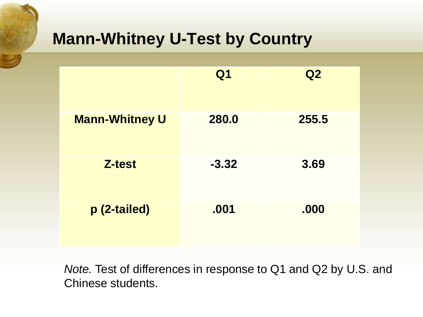### **Mann-Whitney U-Test by Country**

|                       | Q <sub>1</sub> | Q2    |
|-----------------------|----------------|-------|
| <b>Mann-Whitney U</b> | 280.0          | 255.5 |
| <b>Z-test</b>         | $-3.32$        | 3.69  |
| p (2-tailed)          | .001           | .000  |

*Note.* Test of differences in response to Q1 and Q2 by U.S. and Chinese students.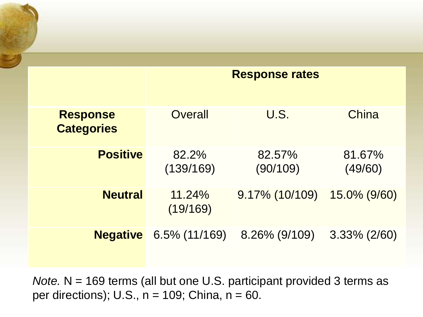|                                      | <b>Response rates</b> |                    |                   |  |
|--------------------------------------|-----------------------|--------------------|-------------------|--|
|                                      |                       |                    |                   |  |
| <b>Response</b><br><b>Categories</b> | Overall               | U.S.               | China             |  |
| <b>Positive</b>                      | 82.2%<br>(139/169)    | 82.57%<br>(90/109) | 81.67%<br>(49/60) |  |
| <b>Neutral</b>                       | $11.24\%$<br>(19/169) | 9.17% (10/109)     | 15.0% (9/60)      |  |
| <b>Negative</b>                      | $6.5\%$ (11/169)      | 8.26% (9/109)      | $3.33\%$ (2/60)   |  |

*Note.* N = 169 terms (all but one U.S. participant provided 3 terms as per directions); U.S., n = 109; China, n = 60.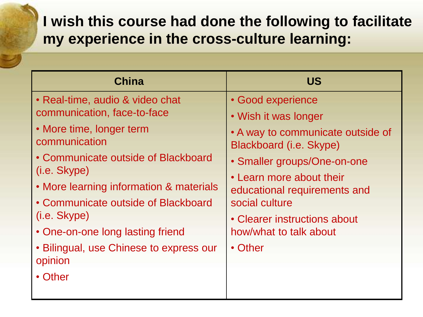### **I wish this course had done the following to facilitate my experience in the cross-culture learning:**

| <b>China</b>                                                                                                                                                                                                                                                                                                                                                   | <b>US</b>                                                                                                                                                                                                                                                                                   |
|----------------------------------------------------------------------------------------------------------------------------------------------------------------------------------------------------------------------------------------------------------------------------------------------------------------------------------------------------------------|---------------------------------------------------------------------------------------------------------------------------------------------------------------------------------------------------------------------------------------------------------------------------------------------|
| • Real-time, audio & video chat<br>communication, face-to-face<br>• More time, longer term<br>communication<br>• Communicate outside of Blackboard<br>(i.e. Skype)<br>• More learning information & materials<br>• Communicate outside of Blackboard<br>(i.e. Skype)<br>• One-on-one long lasting friend<br>• Bilingual, use Chinese to express our<br>opinion | • Good experience<br>• Wish it was longer<br>• A way to communicate outside of<br>Blackboard (i.e. Skype)<br>• Smaller groups/One-on-one<br>• Learn more about their<br>educational requirements and<br>social culture<br>• Clearer instructions about<br>how/what to talk about<br>• Other |
| • Other                                                                                                                                                                                                                                                                                                                                                        |                                                                                                                                                                                                                                                                                             |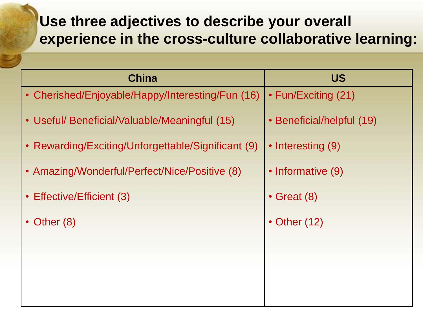### **Use three adjectives to describe your overall experience in the cross-culture collaborative learning:**

| <b>China</b>                                       | <b>US</b>                 |
|----------------------------------------------------|---------------------------|
| • Cherished/Enjoyable/Happy/Interesting/Fun (16)   | • Fun/Exciting (21)       |
| • Useful/ Beneficial/Valuable/Meaningful (15)      | • Beneficial/helpful (19) |
| • Rewarding/Exciting/Unforgettable/Significant (9) | • Interesting (9)         |
| • Amazing/Wonderful/Perfect/Nice/Positive (8)      | • Informative (9)         |
| • Effective/Efficient (3)                          | $\cdot$ Great (8)         |
| • Other $(8)$                                      | $\cdot$ Other (12)        |
|                                                    |                           |
|                                                    |                           |
|                                                    |                           |
|                                                    |                           |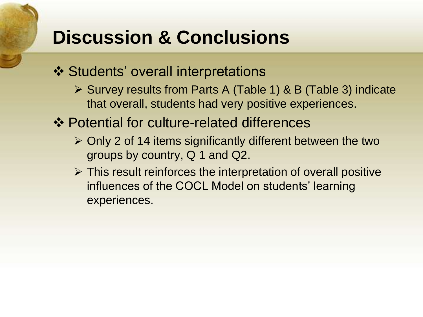## **Discussion & Conclusions**

- ❖ Students' overall interpretations
	- ▶ Survey results from Parts A (Table 1) & B (Table 3) indicate that overall, students had very positive experiences.
- Potential for culture-related differences
	- $\triangleright$  Only 2 of 14 items significantly different between the two groups by country, Q 1 and Q2.
	- $\triangleright$  This result reinforces the interpretation of overall positive influences of the COCL Model on students' learning experiences.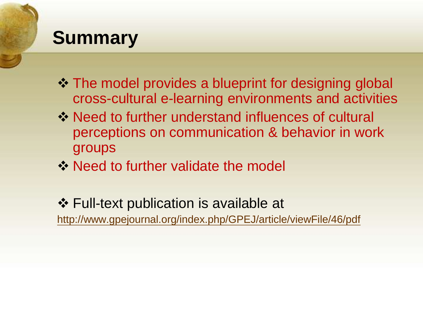## **Summary**

- $\cdot$  **The model provides a blueprint for designing global** cross-cultural e-learning environments and activities
- **Example 13 Vielo and Septem** Need to further understand influences of cultural perceptions on communication & behavior in work groups
- **→ Need to further validate the model**

 Full-text publication is available at <http://www.gpejournal.org/index.php/GPEJ/article/viewFile/46/pdf>